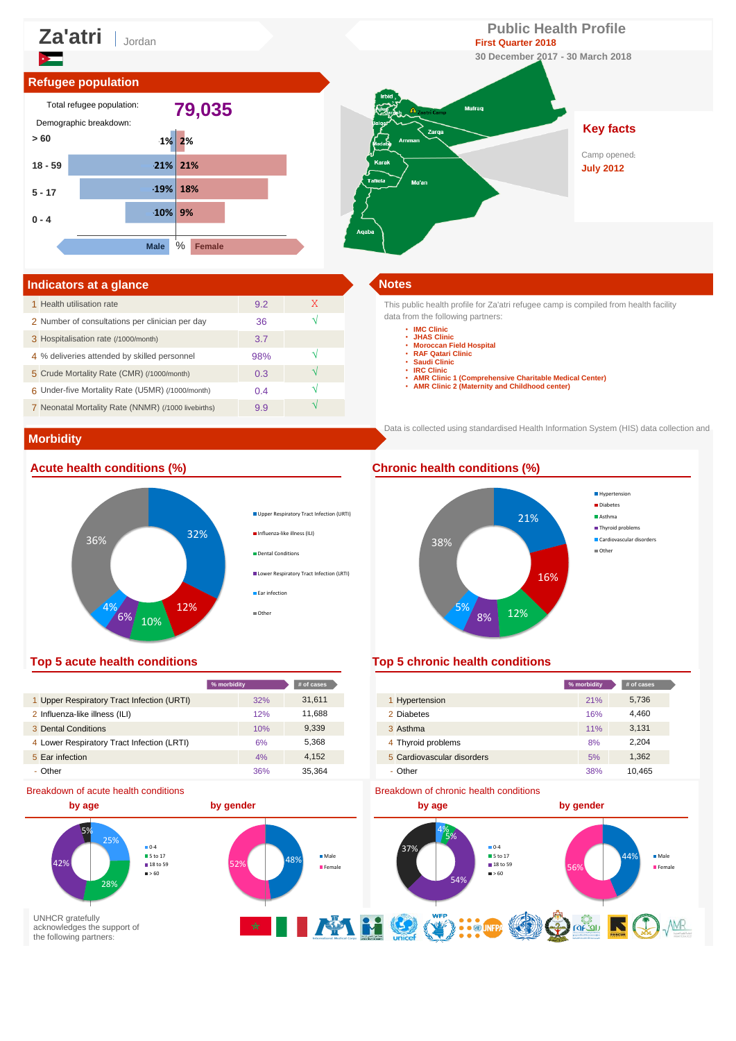

| Indicators at a glance                              |     |   | <b>Notes</b> |
|-----------------------------------------------------|-----|---|--------------|
| 1 Health utilisation rate                           | 9.2 | X | This pu      |
| 2 Number of consultations per clinician per day     | 36  |   | data fro     |
| 3 Hospitalisation rate (/1000/month)                | 3.7 |   |              |
| 4 % deliveries attended by skilled personnel        | 98% |   |              |
| 5 Crude Mortality Rate (CMR) (/1000/month)          | 0.3 |   |              |
| 6 Under-five Mortality Rate (U5MR) (/1000/month)    | 0.4 |   |              |
| 7 Neonatal Mortality Rate (NNMR) (/1000 livebirths) | 9.9 |   |              |

This public health profile for Za'atri refugee camp is compiled from health facility data from the following partners:

- **IMC Clinic JHAS Clinic**
	-
	- **Moroccan Field Hospital RAF Qatari Clinic Saudi Clinic**
	-
	- **IRC Clinic**
	-
	- **AMR Clinic 1 (Comprehensive Charitable Medical Center) AMR Clinic 2 (Maternity and Childhood center)**

Data is collected using standardised Health Information System (HIS) data collection and

# **Morbidity**

## **Acute health conditions (%) Chronic health conditions (%)**



**% morbidity # of cases % morbidity # of cases**



### **Top 5 acute health conditions Top 5 chronic health conditions**

|                                            | % morbidity | $#$ of cases |                            | % morbidity | # of cases |
|--------------------------------------------|-------------|--------------|----------------------------|-------------|------------|
| 1 Upper Respiratory Tract Infection (URTI) | 32%         | 31,611       | Hypertension               | 21%         | 5,736      |
| 2 Influenza-like illness (ILI)             | 12%         | 11.688       | 2 Diabetes                 | 16%         | 4,460      |
| Dental Conditions                          | 10%         | 9,339        | 3 Asthma                   | 11%         | 3,131      |
| Lower Respiratory Tract Infection (LRTI)   | 6%          | 5,368        | 4 Thyroid problems         | 8%          | 2,204      |
| <b>Ear infection</b>                       | 4%          | 4,152        | 5 Cardiovascular disorders | 5%          | ,362       |
| - Other                                    | 36%         | 35.364       | - Other                    | 38%         | 10.465     |

#### Breakdown of chronic health conditions